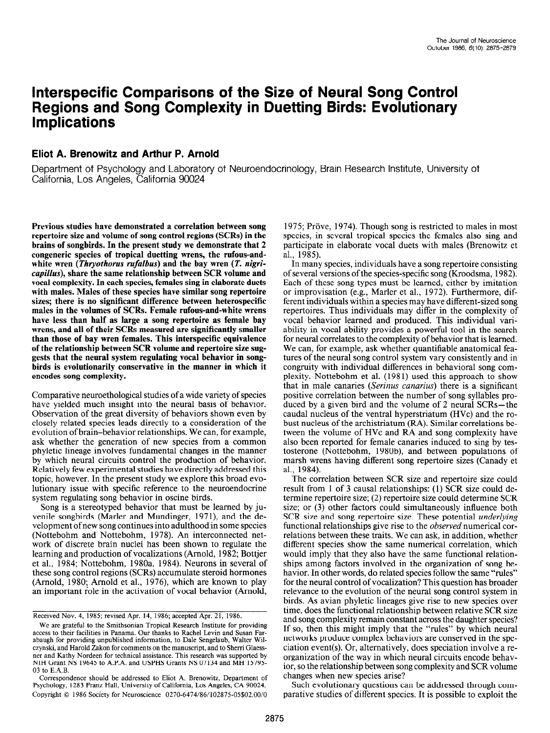# Interspecific Comparisons of the Size of Neural Song Control Regions and Song Complexity in Duetting Birds: Evolutionary **Implications**

# Eliot A. Brenowitz and Arthur P. Arnold

Department of Psychology and Laboratory of Neuroendocrinology, Brain Research Institute, University of California, Los Angeles, California 90024 \*

Previous studies have demonstrated a correlation between song repertoire size and volume of song control regions (SCRs) in the brains of songbirds. In the present study we demonstrate that 2 congeneric species of tropical duetting wrens, the rufous-andwhite wren (Thryothorus rufalbus) and the bay wren (T. nigricapillus), share the same relationship between SCR volume and vocal complexity. In each species, females sing in elaborate duets with males. Males of these species have similar song repertoire sizes; there is no significant difference between heterospecific males in the volumes of SCRs. Female rufous-and-white wrens have less than half as large a song repertoire as female bay wrens, and all of their SCRs measured are significantly smaller than those of bay wren females. This interspecific equivalence of the relationship between SCR volume and repertoire size suggests that the neural system regulating vocal behavior in songbirds is evolutionarily conservative in the manner in which it encodes song complexity.

Comparative neuroethological studies of a wide variety of species have yielded much insight into the neural basis of behavior. nave yielded much msight mto the hethal basis of behavior.<br>Observation of the great diversity of behaviors shown even by closely related species leads directly to a consideration of the evolution of brain-behavior relationships. We can, for example, evolution of brain-behavior relationships. We can, for example, ask whether the generation of new species from a common phyletic lineage involves fundamental changes in the manner by which neural circuits control the production of behavior. Relatively few experimental studies have directly addressed this topic, however. In the present study we explore this broad evolutionary issue with specific reference to the neuroendocrine system regulating song behavior in oscine birds.

Song is a stereotyped behavior that must be learned by juvenile songbirds (Marler and Mundinger, 1971), and the development of new song continues into adulthood in some species (Nottebohm and Nottebohm, 1978). An interconnected network of discrete brain nuclei has been shown to regulate the learning and production of vocalizations (Arnold, 1982; Bottjer et al., 1984; Nottebohm, 1980a, 1984). Neurons in several of these song control regions (SCRs) accumulate steroid hormones (Arnold, 1980; Arnold et al., 1976), which are known to play an important role in the activation of vocal behavior (Arnold,

Received Nov. 4, 1985; revised Apr. 14, 1986; accepted Apr. 21, 1986.  $\chi$  are grateful to the Smithsonian Tropical Apropress Research Institute for  $\chi$  and  $\chi$ 

1975; Pröve, 1974). Though song is restricted to males in most species, in several tropical species the females also sing and participate in elaborate vocal duets with males (Brenowitz et al., 1985).

In many species, individuals have a song repertoire consisting of several versions of the species-specific song (Kroodsma, 1982). Each of these song types must be learned, either by imitation or improvisation (e.g., Marler et al., 1972). Furthermore, different individuals within a species may have different-sized song repertoires. Thus individuals may differ in the complexity of vocal behavior learned and produced. This individual variability in vocal ability provides a powerful tool in the search for neural correlates to the complexity of behavior that is learned. We can, for example, ask whether quantifiable anatomical features of the neural song control system vary consistently and in congruity with individual differences in behavioral song complexity. Nottebohm et al. (198 1) used this approach to show pickly. Noticbolini ct al. (1961) used this approach to show positive correlation between the number of song syllables propositive correlation between the number of song synables produced by a given bird and the volume of 2 neural SCRs—the caudal nucleus of the ventral hyperstriatum (HVc) and the rocaudar nucleus of the critical hyperstriatum ( $(\mathbf{r}, \mathbf{v})$  and the fobust nucleus of the architectum  $(KA)$ . Similar correlations between the volume of HVc and RA and song complexity have also been reported for female canaries induced to sing by testosterone (Nottebohm, 1980b), and between populations of marsh wrens having different song repertoire sizes (Canady et al., 1984). The correlation between SCR size and repertoire size could

result from 1 of 3 causal relationships: (1) SCR size could de-4 causal relationships:  $(1)$  SCR size  $(1)$  size result from 1 of 3 causal relationships: (1) SCR size could determine repertoire size; (2) repertoire size could determine SCR size; or (3) other factors could simultaneously influence both SCR size and song repertoire size. These potential underlying functional relationships give rise to the *observed* numerical correlations between these traits. We can ask, in addition, whether different species show the same numerical correlation, which would imply that they also have the same functional relationships among factors involved in the organization of song behavior. In other words, do related species follow the same "rules" for the neural control of vocalization? This question has broader relevance to the evolution of the neural song control system in birds. As avian phyletic lineages give rise to new species over time, does the functional relationship between relative SCR size and song complexity remain constant across the daughter species? If so, then this might imply that the "rules" by which neural networks produce complex behaviors are conserved in the speciation event(s). Or, alternatively, does speciation involve a reorganization of the way in which neural circuits encode behavior, so the relationship between song complexity and SCR volume changes when new species arise?

Such evolutionary questions can be addressed through comparative studies of different species. It is possible to exploit the

We are grateful to the Smithsonian Tropical Research Institute for providing access to their facilities in Panama. Our thanks to Rachel Levin and Susan Farabaugh for providing unpublished information, to Dale Sengelaub, Walter Wilczynski, and Harold Zakon for comments on the manuscript, and to Sherri Glaessner and Kathy Nordeen for technical assistance. This research was supported by NIH Grant NS 19645 to A.P.A. and USPHS Grants NS 07134 and MH 15795- $03$  to E.A. B.

Correspondence should be addressed to Eliot A. Brenowitz, Department of Psychology, 1283 Franz Hall, University of California, Los Angeles, CA 90024. Copyright © 1986 Society for Neuroscience 0270-6474/86/102875-05\$02.00/0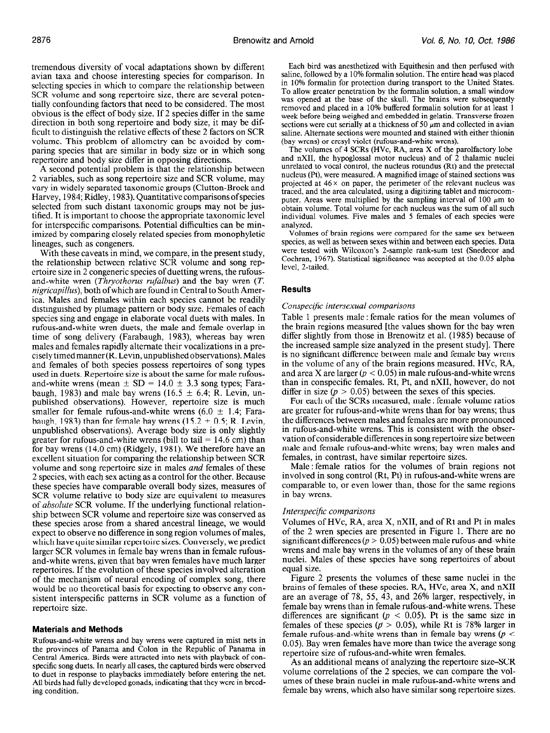tremendous diversity of vocal adaptations shown by different avian taxa and choose interesting species for comparison. In selecting species in which to compare the relationship between SCR volume and song repertoire size, there are several potentially confounding factors that need to be considered. The most obvious is the effect of body size. If 2 species differ in the same direction in both song repertoire and body size, it may be difficult to distinguish the relative effects of these 2 factors on SCR volume. This problem of allometry can be avoided by comparing species that are similar in body size or in which song repertoire and body size differ in opposing directions.

A second potential problem is that the relationship between 2 variables, such as song repertoire size and SCR volume, may vary in widely separated taxonomic groups (Clutton-Brock and Harvey, 1984; Ridley, 1983). Quantitative comparisons of species selected from such distant taxonomic groups may not be justified. It is important to choose the appropriate taxonomic level for interspecific comparisons. Potential difficulties can be minimized by comparing closely related species from monophyletic lineages, such as congeners.

With these caveats in mind, we compare, in the present study, the relationship between relative SCR volume and song repertoire size in 2 congeneric species of duetting wrens, the rufousand-white wren (Thryothorus rufalbus) and the bay wren (T. nigricapillus), both ofwhich are found in Central to South America. Males and females within each species cannot be readily distinguished by plumage pattern or body size. Females of each species sing and engage in elaborate vocal duets with males. In rufous-and-white wren duets, the male and female overlap in time of song delivery (Farabaugh, 1983), whereas bay wren males and females rapidly alternate their vocalizations in a preciselytimedmanner (R. Levin, unpublishedobservations). Males and females of both species possess repertoires of song types used in duets. Repertoire size is about the same for male rufousand-white wrens (mean  $\pm$  SD = 14.0  $\pm$  3.3 song types; Farabaugh, 1983) and male bay wrens (16.5  $\pm$  6.4; R. Levin, unpublished observations). However, repertoire size is much smaller for female rufous-and-white wrens (6.0  $\pm$  1.4; Farabaugh, 1983) than for female bay wrens (15.2  $\pm$  0.5; R. Levin, unpublished observations). Average body size is only slightly greater for rufous-and-white wrens (bill to tail  $= 14.6$  cm) than for bay wrens (14.0 cm) (Ridgely, 1981). We therefore have an for day wrens (14.0 cm) (Kingery, 1701). We increduce have all<br>excellent situation for comparing the relationship between SCD excenent situation for comparing the relationship between SCK volume and song repertoire size in males *and* females of these 2 species, with each sex acting as a control for the other. Because these species have comparable overall body sizes, measures of  $\sum_{n=1}^{\infty}$  species nave comparable overall body sizes, ineasures of SCR volume relative to body size are equivalent to measures of *absolute* SCR volume. If the underlying functional relationof *absolute* SCR volume. If the underlying functional relationship between SCR volume and repertoire size was conserved as these species arose from a shared ancestral lineage, we would expect to observe no difference in song region volumes of males. which have quite similar repertoire sizes. Conversely, we predict larger SCR volumes in female bay wrens than in female rufousand-white wrens, given that bay wren females have much larger repertoires. If the evolution of these species involved alteration of the mechanism of neural encoding of complex song, there would be no theoretical basis for expecting to observe any consistent interspecific patterns in SCR volume as a function of repertoire size.

#### Materials and Methods Rufous-and-whenever captured in mist nets in mist networks were captured in mist networks were captured in mist networks in mist networks were captured in mist networks were captured in mist networks were captured in mist

Rufous-and-white wrens and bay wrens were captured in mist nets in the provinces of Panama and Colon in the Republic of Panama in Central America. Birds were attracted into nets with playback of conspecific song duets. In nearly all cases, the captured birds were observed to duet in response to playbacks immediately before entering the net. All birds had fully developed gonads, indicating that they were in breeding condition.

Each bird was anesthetized with Equithesin and then perfused with saline, followed by a 10% formalin solution. The entire head was placed in 10% formalin for protection during transport to the United States. To allow greater penetration by the formalin solution, a small window was opened at the base of the skull. The brains were subsequently removed and placed in a 10% buffered formalin solution for at least 1 week before being weighed and embedded in gelatin. Transverse frozen sections were cut serially at a thickness of 50  $\mu$ m and collected in avian saline. Alternate sections were mounted and stained with either thionin (bay wrens) or cresyl violet (rufous-and-white wrens).

The volumes of 4 SCRs (HVc, RA, area X of the parolfactory lobe and nXI1, the hypoglossal motor nucleus) and of 2 thalamic nuclei unrelated to vocal control, the nucleus rotundus (Rt) and the pretectal nucleus (Pt), were measured. A magnified image of stained sections was projected at  $46 \times$  on paper, the perimeter of the relevant nucleus was traced, and the area calculated, using a digitizing tablet and microcomputer. Areas were multiplied by the sampling interval of 100  $\mu$ m to obtain volume. Total volume for each nucleus was the sum of all such individual volumes. Five males and 5 females of each species were analyzed.

Volumes of brain regidns were compared for the same sex between species, as well as between sexes within and between each species. Data were tested with Wilcoxon's 2-sample rank-sum test (Snedecor and Cochran, 1967). Statistical significance was accepted at the 0.05 alpha level, 2-tailed.

# **Results**

#### Conspecific intersexual comparisons

Table 1 presents male : female ratios for the mean volumes of the brain regions measured [the values shown for the bay wren differ slightly from those in Brenowitz et al. (1985) because of the increased sample size analyzed in the present study]. There is no significant difference between male and female bay wrens in the volume of any of the brain regions measured. HVc, RA, and area X are larger  $(p < 0.05)$  in male rufous-and-white wrens than in conspecific females. Rt, Pt, and nXI1, however, do not differ in size ( $p > 0.05$ ) between the sexes of this species.

For each of the SCRs measured, male : female volume ratios are greater for rufous-and-white wrens than for bay wrens; thus the differences between males and females are more pronounced in rufous-and-white wrens.. This is consistent with the observation of considerable differences in song repertoire size between male and female rufous-and-white wrens; bay wren males and females, in contrast, have similar repertoire sizes. naics, in contrast, nave similar repertone sizes.<br>Molo : female, ratios, for the volumes of brain regions not

involved in song control (Rt, Pt) in rufous-and-white wrens are involved in song control (Rt, Pt) in rufous-and-white wrens are comparable to, or even lower than, those for the same regions in bay wrens.

# Interspecijic comparisons

Volumes of HVc, RA, area X, nXI1, and of Rt and Pt in males volumes of  $HvC$ ,  $NA$ , area  $A$ ,  $HAI$ , and of  $N$  and  $T$  in mates of the 2 wren species are presented in Figure 1. There are no of the 2 wren species are presented in Figure 1. There are no significant differences  $(p > 0.03)$  between male rulous-and-wille wrens and male bay wrens in the volumes of any of these brain nuclei. Males of these species have song repertoires of about equal size. UZE  $2 \times 2$  presents the volumes of these same nuclei in the

 $\frac{1}{2}$  rigure 2 presents the volumes of these same nuclei in the brains of females of these species. RA, HVc, area X, and nXII are an average of 78, 55, 43, and 26% larger, respectively, in female bay wrens than in female rufous-and-white wrens. These differences are significant ( $p < 0.05$ ). Pt is the same size in females of these species ( $p > 0.05$ ), while Rt is 78% larger in female rufous-and-white wrens than in female bay wrens ( $p <$ 0.05). Bay wren females have more than twice the average song. repertoire size of rufous-and-white wren females.

As an additional means of analyzing the repertoire size–SCR volume correlations of the 2 species, we can compare the volumes of these brain nuclei in male rufous-and-white wrens and female bay wrens, which also have similar song repertoire sizes.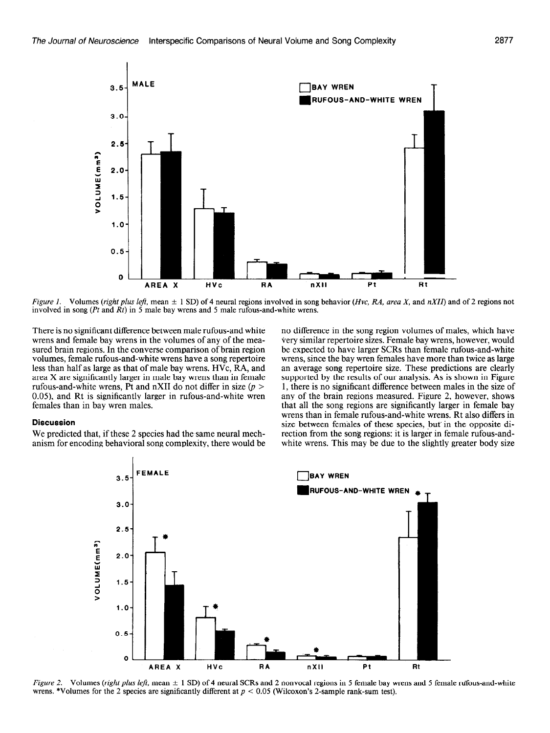

Figure 1. Volumes (right plus left, mean  $\pm$  1 SD) of 4 neural regions involved in song behavior (Hvc, RA, area X, and nXII) and of 2 regions not involved in song (Pt and  $\overline{R}t$ ) in 5 male bay wrens and 5 male rufous-and-white wrens.

There is no significant difference between male rufous-and white wrens and female bay wrens in the volumes of any of the measured brain regions. In the converse comparison of brain region volumes, female rufous-and-white wrens have a song repertoire less than half as large as that of male bay wrens. HVc, RA, and area X are significantly larger in male bay wrens than in female rufous-and-white wrens, Pt and nXII do not differ in size  $(p >$ 0.05), and Rt is significantly larger in rufous-and-white wren females than in bay wren males.

# Discussion

We predicted that, if these 2 species had the same neural mechanism for encoding behavioral song complexity, there would be no difference in the song region volumes of males, which have very similar repertoire sizes. Female bay wrens, however, would be expected to have larger SCRs than female rufous-and-white wrens, since the bay wren females have more than twice as large an average song repertoire size. These predictions are clearly supported by the results of our analysis. As is shown in Figure 1, there is no significant difference between males in the size of any of the brain regions measured. Figure 2, however, shows that all the song regions are significantly larger in female bay wrens than in female rufous-and-white wrens. Rt also differs in size between females of these species, but in the opposite direction from the song regions: it is larger in female rufous-andwhite wrens. This may be due to the slightly greater body size



Figure 2. Volumes (right plus left, mean  $\pm$  1 SD) of 4 neural SCRs and 2 nonvocal regions in 5 female bay wre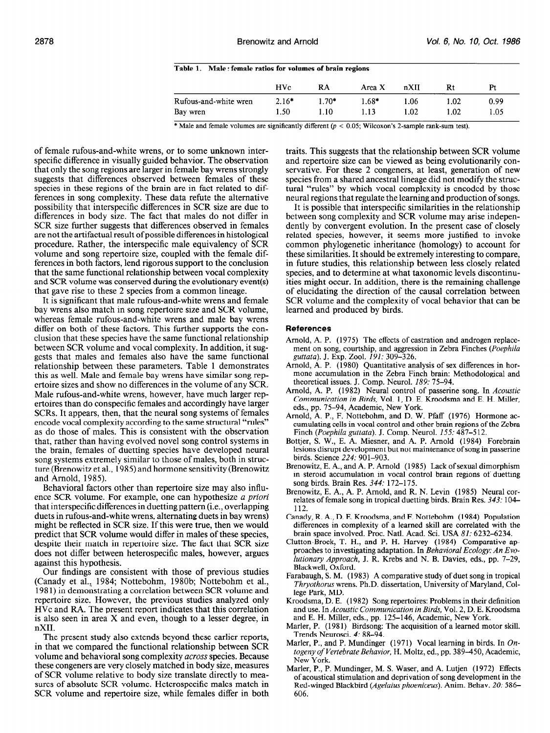|  | Table 1. Male: female ratios for volumes of brain regions |  |  |  |  |
|--|-----------------------------------------------------------|--|--|--|--|
|--|-----------------------------------------------------------|--|--|--|--|

|                       | <b>HVc</b> | RA      | Area X  | nXII | Rt   | Pt   |
|-----------------------|------------|---------|---------|------|------|------|
| Rufous-and-white wren | $2.16*$    | $1.70*$ | $1.68*$ | 1.06 | 1.02 | 0.99 |
| Bay wren              | 1.50       | 1.10-   | 1.13    | 1.02 | 1.02 | 1.05 |

\* Male and female volumes are significantly different  $(p < 0.05$ ; Wilcoxon's 2-sample rank-sum test).

of female rufous-and-white wrens, or to some unknown interspecific difference in visually guided behavior. The observation that only the song regions are larger in female bay wrens strongly suggests that differences observed between females of these species in these regions of the brain are in fact related to differences in song complexity. These data refute the alternative possibility that interspecific differences in SCR size are due to differences in body size. The fact that males do not differ in SCR size further suggests that differences observed in females are not the artifactual result of possible differences in histological procedure. Rather, the interspecific male equivalency of SCR volume and song repertoire size, coupled with the female differences in both factors, lend rigorous support to the conclusion that the same functional relationship between vocal complexity and SCR volume was conserved during the evolutionary event(s) that gave rise to these 2 species from a common lineage.

It is significant that male rufous-and-white wrens and female bay wrens also match in song repertoire size and SCR volume, whereas female rufous-and-white wrens and male bay wrens differ on both of these factors. This further supports the conclusion that these species have the same functional relationship between SCR volume and vocal complexity. In addition, it suggests that males and females also have the same functional relationship between these parameters. Table 1 demonstrates this as well. Male and female bay wrens have similar song repertoire sizes and show no differences in the volume of any SCR. Male rufous-and-white wrens, however, have much larger repertoires than do conspecific females and accordingly have larger SCRs. It appears, then, that the neural song systems of females encode vocal complexity according to the same structural "rules" encoue vocal complexity according to the same structural Trues as do mose of mates. This is consistent with the observation that, rather than having evolved novel song control systems in the brain, females of duetting species have developed neural some systems extremely similar to those of males, both in strucsong systems extremely similar to those of males, both in structure  $\Omega$ ture (Brenowitz et al., 1985) and hormone sensitivity (Brenowitz and Arnold, 1985).  $B = \frac{B - B}{2}$ 

benavioral factors other than repertoire size may also influence ence SCR volume. For example, one can hypothesize a priori that interspecific differences in duetting pattern (i.e., overlapping duets in rufous-and-white wrens, alternating duets in bay wrens) might be reflected in SCR size. If this were true, then we would predict that SCR volume would differ in males of these species, despite their match in repertoire size. The fact that SCR size does not differ between heterospecific males, however, argues against this hypothesis.  $\alpha$  ainst this hypothesis.

Our findings are consistent with those of previous studies (Canady et al., 1984; Nottebohm, 1980b; Nottebohm et al., 1981) in demonstrating a correlation between SCR volume and repertoire size. However, the previous studies analyzed only HVc and RA. The present report indicates that this correlation is also seen in area  $X$  and even, though to a lesser degree, in  $nXII$ . The present study also extends beyond these earlier reports,

The present study also extends beyond these earlier reports, in that we compared the functional relationship between SCR volume and behavioral song complexity across species. Because these congeners are very closely matched in body size, measures of SCR volume relative to body size translate directly to measures of absolute SCR volume. Heterospecific males match in SCR volume and repertoire size, while females differ in both

traits. This suggests that the relationship between SCR volume and repertoire size can be viewed as being evolutionarily conservative. For these 2 congeners, at least, generation of new species from a shared ancestral lineage did not modify the structural "rules" by which vocal complexity is encoded by those neural regions that regulate the learning and production of songs.

It is possible that interspecific similarities in the relationship between song complexity and SCR volume may arise independently by convergent evolution. In the present case of closely related species, however, it seems more justified to invoke common phylogenetic inheritance (homology) to account for these similarities. It should be extremely interesting to compare, in future studies, this relationship between less closely related species, and to determine at what taxonomic levels discontinuities might occur. In addition, there is the remaining challenge of elucidating the direction of the causal correlation between SCR volume and the complexity of vocal behavior that can be learned and produced by birds.

### References

- Arnold, A. P. (1975) The effects of castration and androgen replacemont, A. C. (1979) The encere of contracted and analogen replace  $\frac{1}{2}$ guildia), J. EXP. (2001, 191, 309–320)<br>Arnold, A. D. (1980), Quantitative analysis of sex differences in hor-
- mone accumulation in the Zebra Finch brain: Methodological and<br>mone accumulation in the Zebra Finch brain: Methodological and theoretical issues. J. Comp. Neurol. 189: 75-94.<br>
Arnold, A. P. (1982) Neurol. 189: 75-94.
- Arnold, A. P. (1982) Neural control of passerine song. In Acoustic Communication in Birds, Vol. 1, D. E. Kroodsma and E. H. Miller, eds., pp. 75-94, Academic, New York. eds., pp.  $/5$ –94, Academic, New York.<br>Arnold, A. D. E. Mettebolm, and D. W. Pfaff (1976) Hormone ac-
- $\frac{1}{2}$  cumulation control and  $\frac{1}{2}$  w. Figure (1770) Troll flow accumulating cells in vocal control and other brain regions of the Zebra Finch (Poephila guttata). J. Comp. Neurol. 155: 487-512.
- Bottjer, S. W., E. A. Miesner, and A. P. Arnold (1984) Forebrain lesions disrupt development but not maintenance of song in passerine birds. Science 224: 901-903. brius, Science  $224$ ,  $901-903$ .
- $i$ enowitz, E. A., and A. F. Armord  $(1983)$  Lack of sexual dumorphism in steroid accumulation in vocal control brain regions of duetting song birds. Brain Res.  $344$ : 172-175. song biras, Brain Res. 344.  $1/2-1/3$ .
- enowitz, E. A., A. P. Arnoid, and R. N. Levin  $(1983)$  Neural correlates of female song in tropical duetting birds. Brain Res.  $343$ : 104–112.  $\frac{112.}{8.6}$
- $\max$ , K. A., D. E. Kroodsma, and F. Nottebonm (1984) Population differences in complexity of a learned skill are correlated with the brain space involved. Proc. Natl. Acad. Sci. USA 81: 6232-6234.
- Clutton-Brock, T. H., and P. H. Harvey (1984) Comparative approaches to investigating adaptation. In Behavioral Ecology: An Evolutionary Approach, J. R. Krebs and N. B. Davies, eds., pp. 7–29, Blackwell, Oxford. BIACKWEII, OXIOTO.
- rabaugh, S. M. (1983) A comparative study of duet song in tropica Thryothorus wrens. Ph.D. dissertation, University of Maryland, College Park, MD.  $E$ lege Park, MD.  $E$ . E. (1982) Song repertoires: Problems in the intervals in the intervals in the intervals in the intervals in the intervals in the intervals in the intervals in the intervals in the intervals in the i
- roodsma, D. E. (1982) Song repertoires: Problems in their definitio and use. In Acoustic Communication in Birds, Vol. 2, D. E. Kroodsma and E. H. Miller, eds., pp. 125–146, Academic, New York.
- Marler, P. (1981) Birdsong: The acquisition of a learned motor skill. Trends Neurosci. 4: 88-94.
- Marler, P., and P. Mundinger (1971) Vocal learning in birds. In  $On$ togeny of Vertebrate Behavior, H. Moltz, ed., pp. 389-450, Academic, New York.
- Marler, P., P. Mundinger, M. S. Waser, and A. Lutjen (1972) Effects of acoustical stimulation and deprivation of song development in the Red-winged Blackbird (Agelaius phoeniceus). Anim. Behav. 20: 586-606